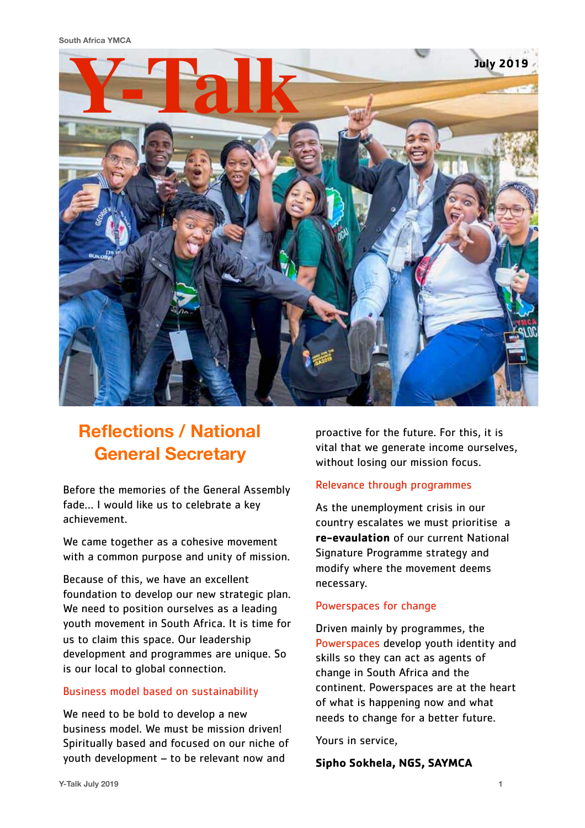**South Africa YMCA**



## **Reflections / National General Secretary**

Before the memories of the General Assembly fade… I would like us to celebrate a key achievement.

We came together as a cohesive movement with a common purpose and unity of mission.

Because of this, we have an excellent foundation to develop our new strategic plan. We need to position ourselves as a leading youth movement in South Africa. It is time for us to claim this space. Our leadership development and programmes are unique. So is our local to global connection.

#### Business model based on sustainability

We need to be bold to develop a new business model. We must be mission driven! Spiritually based and focused on our niche of youth development – to be relevant now and

proactive for the future. For this, it is vital that we generate income ourselves, without losing our mission focus.

#### Relevance through programmes

As the unemployment crisis in our country escalates we must prioritise a **re-evaulation** of our current National Signature Programme strategy and modify where the movement deems necessary.

#### Powerspaces for change

Driven mainly by programmes, the Powerspaces develop youth identity and skills so they can act as agents of change in South Africa and the continent. Powerspaces are at the heart of what is happening now and what needs to change for a better future.

Yours in service,

#### **Sipho Sokhela, NGS, SAYMCA**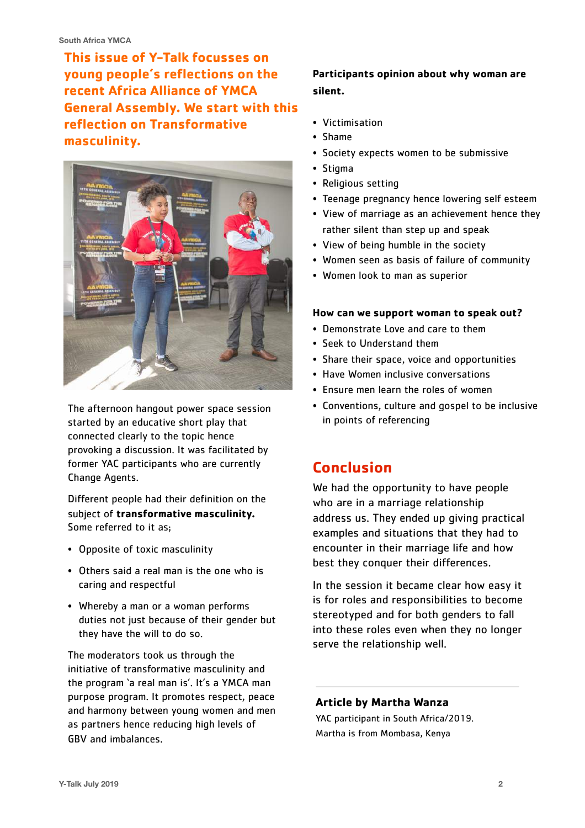**This issue of Y-Talk focusses on young people's reflections on the recent Africa Alliance of YMCA General Assembly. We start with this reflection on Transformative masculinity.** 



The afternoon hangout power space session started by an educative short play that connected clearly to the topic hence provoking a discussion. It was facilitated by former YAC participants who are currently Change Agents.

Different people had their definition on the subject of **transformative masculinity.** Some referred to it as;

- Opposite of toxic masculinity
- Others said a real man is the one who is caring and respectful
- Whereby a man or a woman performs duties not just because of their gender but they have the will to do so.

The moderators took us through the initiative of transformative masculinity and the program 'a real man is'. It's a YMCA man purpose program. It promotes respect, peace and harmony between young women and men as partners hence reducing high levels of GBV and imbalances.

## **Participants opinion about why woman are silent.**

- Victimisation
- Shame
- Society expects women to be submissive
- Stigma
- Religious setting
- Teenage pregnancy hence lowering self esteem
- View of marriage as an achievement hence they rather silent than step up and speak
- View of being humble in the society
- Women seen as basis of failure of community
- Women look to man as superior

#### **How can we support woman to speak out?**

- Demonstrate Love and care to them
- Seek to Understand them
- Share their space, voice and opportunities
- Have Women inclusive conversations
- Ensure men learn the roles of women
- Conventions, culture and gospel to be inclusive in points of referencing

## **Conclusion**

We had the opportunity to have people who are in a marriage relationship address us. They ended up giving practical examples and situations that they had to encounter in their marriage life and how best they conquer their differences.

In the session it became clear how easy it is for roles and responsibilities to become stereotyped and for both genders to fall into these roles even when they no longer serve the relationship well.

#### **Article by Martha Wanza**

YAC participant in South Africa/2019. Martha is from Mombasa, Kenya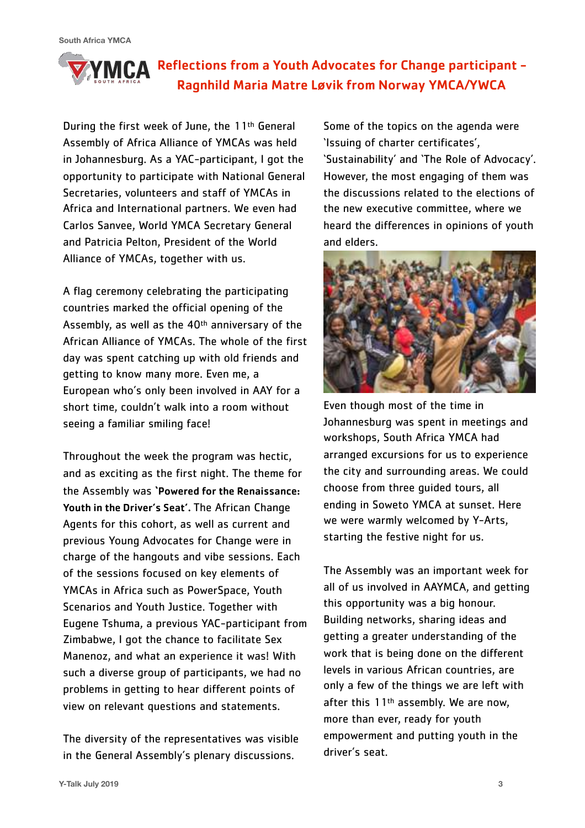## YMCA Reflections from a Youth Advocates for Change participant -Ragnhild Maria Matre Løvik from Norway YMCA/YWCA

During the first week of June, the 11th General Assembly of Africa Alliance of YMCAs was held in Johannesburg. As a YAC-participant, I got the opportunity to participate with National General Secretaries, volunteers and staff of YMCAs in Africa and International partners. We even had Carlos Sanvee, World YMCA Secretary General and Patricia Pelton, President of the World Alliance of YMCAs, together with us.

A flag ceremony celebrating the participating countries marked the official opening of the Assembly, as well as the 40th anniversary of the African Alliance of YMCAs. The whole of the first day was spent catching up with old friends and getting to know many more. Even me, a European who's only been involved in AAY for a short time, couldn't walk into a room without seeing a familiar smiling face!

Throughout the week the program was hectic, and as exciting as the first night. The theme for the Assembly was 'Powered for the Renaissance: Youth in the Driver's Seat'. The African Change Agents for this cohort, as well as current and previous Young Advocates for Change were in charge of the hangouts and vibe sessions. Each of the sessions focused on key elements of YMCAs in Africa such as PowerSpace, Youth Scenarios and Youth Justice. Together with Eugene Tshuma, a previous YAC-participant from Zimbabwe, I got the chance to facilitate Sex Manenoz, and what an experience it was! With such a diverse group of participants, we had no problems in getting to hear different points of view on relevant questions and statements.

The diversity of the representatives was visible in the General Assembly's plenary discussions.

Some of the topics on the agenda were 'Issuing of charter certificates', 'Sustainability' and 'The Role of Advocacy'. However, the most engaging of them was the discussions related to the elections of the new executive committee, where we heard the differences in opinions of youth and elders.



Even though most of the time in Johannesburg was spent in meetings and workshops, South Africa YMCA had arranged excursions for us to experience the city and surrounding areas. We could choose from three guided tours, all ending in Soweto YMCA at sunset. Here we were warmly welcomed by Y-Arts, starting the festive night for us.

The Assembly was an important week for all of us involved in AAYMCA, and getting this opportunity was a big honour. Building networks, sharing ideas and getting a greater understanding of the work that is being done on the different levels in various African countries, are only a few of the things we are left with after this 11<sup>th</sup> assembly. We are now, more than ever, ready for youth empowerment and putting youth in the driver's seat.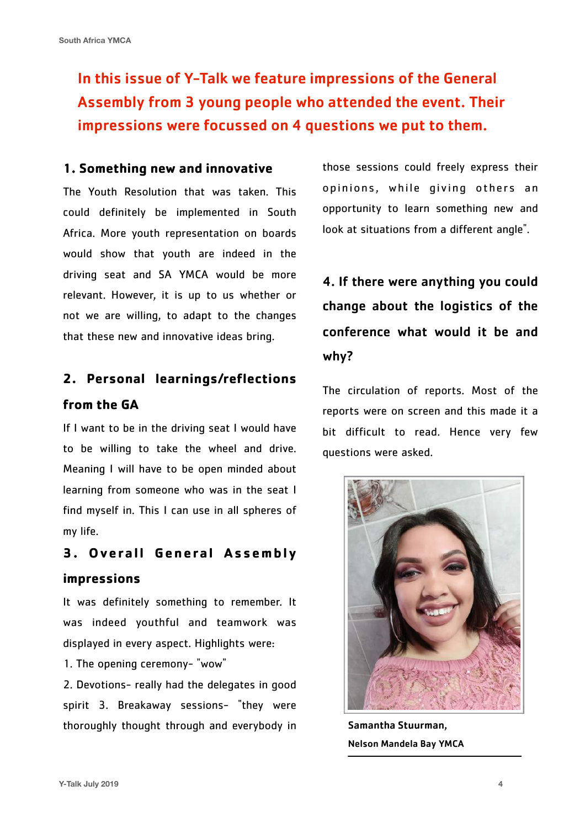In this issue of Y-Talk we feature impressions of the General Assembly from 3 young people who attended the event. Their impressions were focussed on 4 questions we put to them.

#### **1. Something new and innovative**

The Youth Resolution that was taken. This could definitely be implemented in South Africa. More youth representation on boards would show that youth are indeed in the driving seat and SA YMCA would be more relevant. However, it is up to us whether or not we are willing, to adapt to the changes that these new and innovative ideas bring.

## **2. Personal learnings/reflections**

#### **from the GA**

If I want to be in the driving seat I would have to be willing to take the wheel and drive. Meaning I will have to be open minded about learning from someone who was in the seat I find myself in. This I can use in all spheres of my life.

## **3. Overall General Assembly impressions**

It was definitely something to remember. It was indeed youthful and teamwork was displayed in every aspect. Highlights were:

1. The opening ceremony- "wow"

2. Devotions- really had the delegates in good spirit 3. Breakaway sessions- "they were thoroughly thought through and everybody in those sessions could freely express their opinions, while giving others an opportunity to learn something new and look at situations from a different angle".

## 4. If there were anything you could change about the logistics of the conference what would it be and why?

The circulation of reports. Most of the reports were on screen and this made it a bit difficult to read. Hence very few questions were asked.



Samantha Stuurman, Nelson Mandela Bay YMCA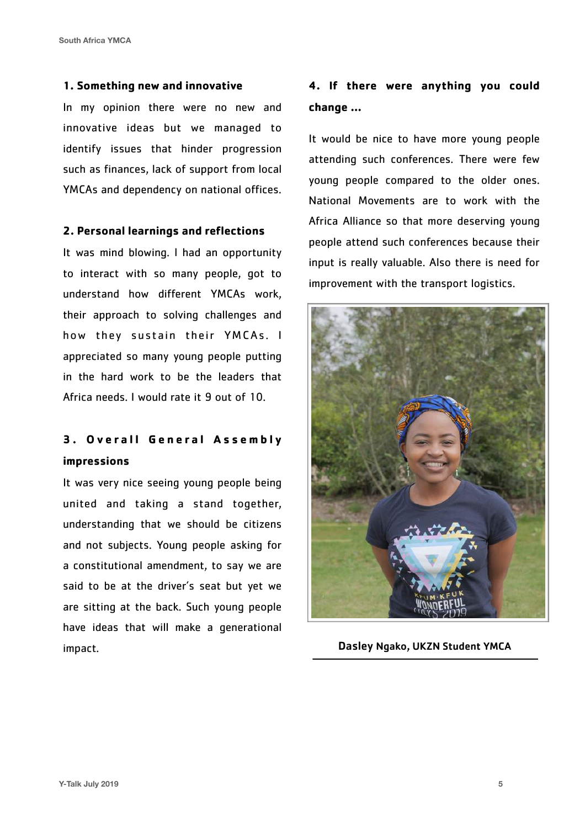**South Africa YMCA**

#### **1. Something new and innovative**

In my opinion there were no new and innovative ideas but we managed to identify issues that hinder progression such as finances, lack of support from local YMCAs and dependency on national offices.

#### **2. Personal learnings and reflections**

It was mind blowing. l had an opportunity to interact with so many people, got to understand how different YMCAs work, their approach to solving challenges and how they sustain their YMCAs. I appreciated so many young people putting in the hard work to be the leaders that Africa needs. I would rate it 9 out of 10.

## **3. Overall General Assembly impressions**

It was very nice seeing young people being united and taking a stand together, understanding that we should be citizens and not subjects. Young people asking for a constitutional amendment, to say we are said to be at the driver's seat but yet we are sitting at the back. Such young people have ideas that will make a generational impact.

## **4. If there were anything you could change …**

It would be nice to have more young people attending such conferences. There were few young people compared to the older ones. National Movements are to work with the Africa Alliance so that more deserving young people attend such conferences because their input is really valuable. Also there is need for improvement with the transport logistics.



Dasley Ngako, UKZN Student YMCA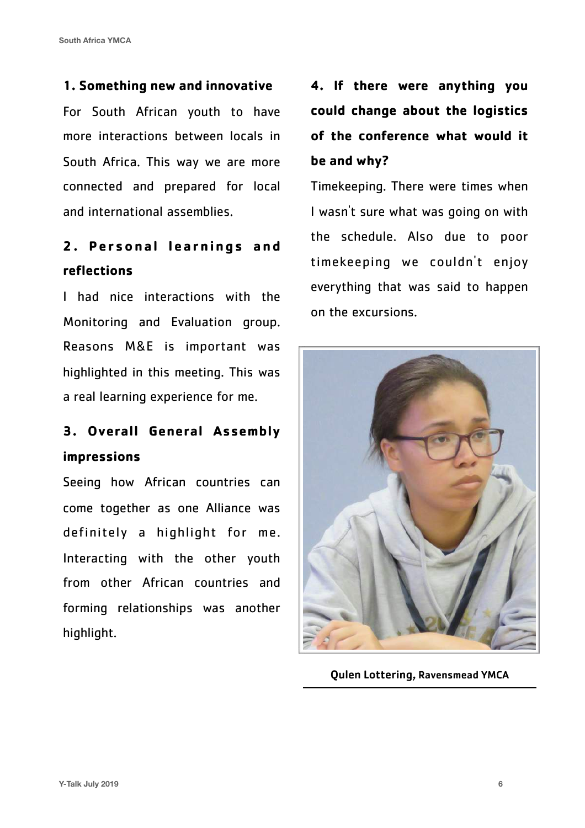## **1. Something new and innovative**

For South African youth to have more interactions between locals in South Africa. This way we are more connected and prepared for local and international assemblies.

## **2. Personal learnings and reflections**

I had nice interactions with the Monitoring and Evaluation group. Reasons M&E is important was highlighted in this meeting. This was a real learning experience for me.

## **3. Overall General Assembly impressions**

Seeing how African countries can come together as one Alliance was definitely a highlight for me. Interacting with the other youth from other African countries and forming relationships was another highlight.

## **4. If there were anything you could change about the logistics of the conference what would it be and why?**

Timekeeping. There were times when I wasn't sure what was going on with the schedule. Also due to poor timekeeping we couldn't enjoy everything that was said to happen on the excursions.



Qulen Lottering, Ravensmead YMCA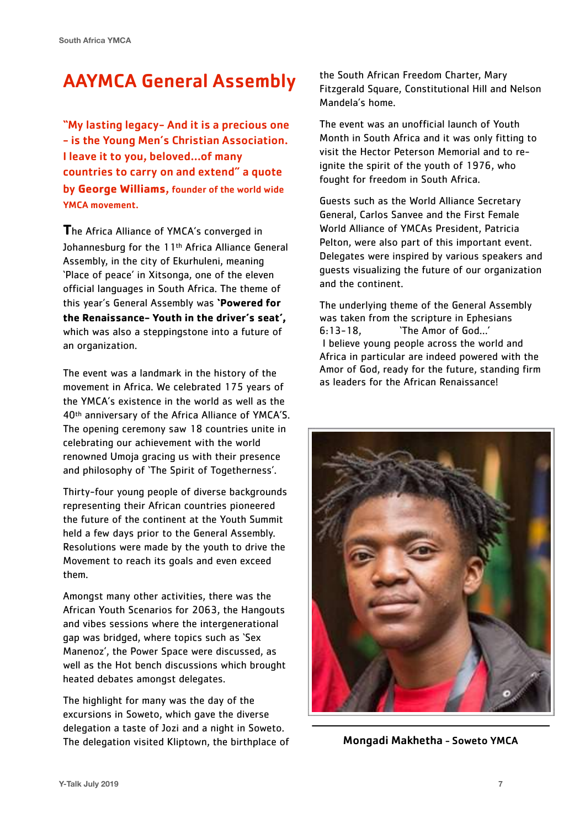## AAYMCA General Assembly

"My lasting legacy- And it is a precious one - is the Young Men's Christian Association. I leave it to you, beloved…of many countries to carry on and extend" a quote by **George Williams**, founder of the world wide YMCA movement.

**T**he Africa Alliance of YMCA's converged in Johannesburg for the 11th Africa Alliance General Assembly, in the city of Ekurhuleni, meaning 'Place of peace' in Xitsonga, one of the eleven official languages in South Africa. The theme of this year's General Assembly was **'Powered for the Renaissance- Youth in the driver's seat',**  which was also a steppingstone into a future of an organization.

The event was a landmark in the history of the movement in Africa. We celebrated 175 years of the YMCA's existence in the world as well as the 40th anniversary of the Africa Alliance of YMCA'S. The opening ceremony saw 18 countries unite in celebrating our achievement with the world renowned Umoja gracing us with their presence and philosophy of 'The Spirit of Togetherness'.

Thirty-four young people of diverse backgrounds representing their African countries pioneered the future of the continent at the Youth Summit held a few days prior to the General Assembly. Resolutions were made by the youth to drive the Movement to reach its goals and even exceed them.

Amongst many other activities, there was the African Youth Scenarios for 2063, the Hangouts and vibes sessions where the intergenerational gap was bridged, where topics such as 'Sex Manenoz', the Power Space were discussed, as well as the Hot bench discussions which brought heated debates amongst delegates.

The highlight for many was the day of the excursions in Soweto, which gave the diverse delegation a taste of Jozi and a night in Soweto. The delegation visited Kliptown, the birthplace of the South African Freedom Charter, Mary Fitzgerald Square, Constitutional Hill and Nelson Mandela's home.

The event was an unofficial launch of Youth Month in South Africa and it was only fitting to visit the Hector Peterson Memorial and to reignite the spirit of the youth of 1976, who fought for freedom in South Africa.

Guests such as the World Alliance Secretary General, Carlos Sanvee and the First Female World Alliance of YMCAs President, Patricia Pelton, were also part of this important event. Delegates were inspired by various speakers and guests visualizing the future of our organization and the continent.

The underlying theme of the General Assembly was taken from the scripture in Ephesians 6:13-18, 'The Amor of God…' I believe young people across the world and Africa in particular are indeed powered with the Amor of God, ready for the future, standing firm as leaders for the African Renaissance!



Mongadi Makhetha - Soweto YMCA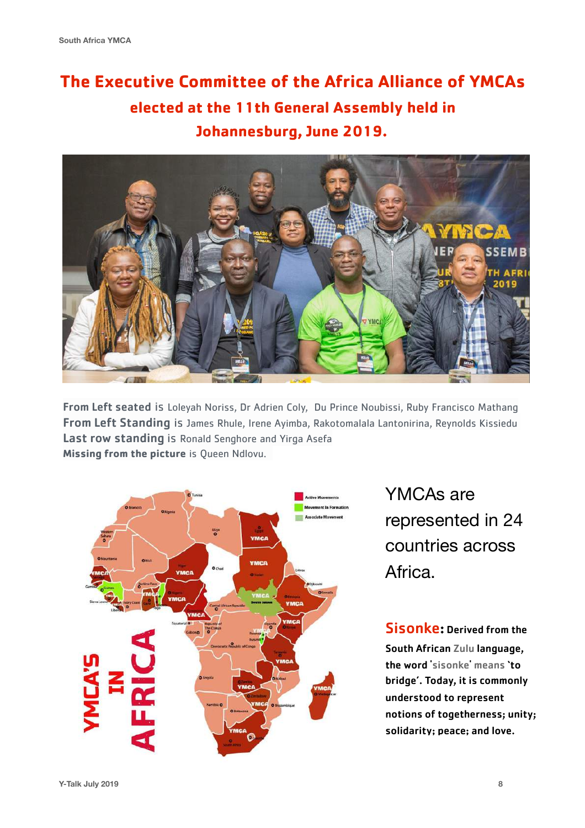## **The Executive Committee of the Africa Alliance of YMCAs elected at the 11th General Assembly held in Johannesburg, June 2019.**



From Left seated is Loleyah Noriss, Dr Adrien Coly, Du Prince Noubissi, Ruby Francisco Mathang From Left Standing is James Rhule, Irene Ayimba, Rakotomalala Lantonirina, Reynolds Kissiedu Last row standing is Ronald Senghore and Yirga Asefa **Missing from the picture** is Queen Ndlovu.



YMCAs are represented in 24 countries across Africa.

Sisonke: Derived from the South African Zulu language, the word 'sisonke' means 'to bridge'. Today, it is commonly understood to represent notions of togetherness; unity; solidarity; peace; and love.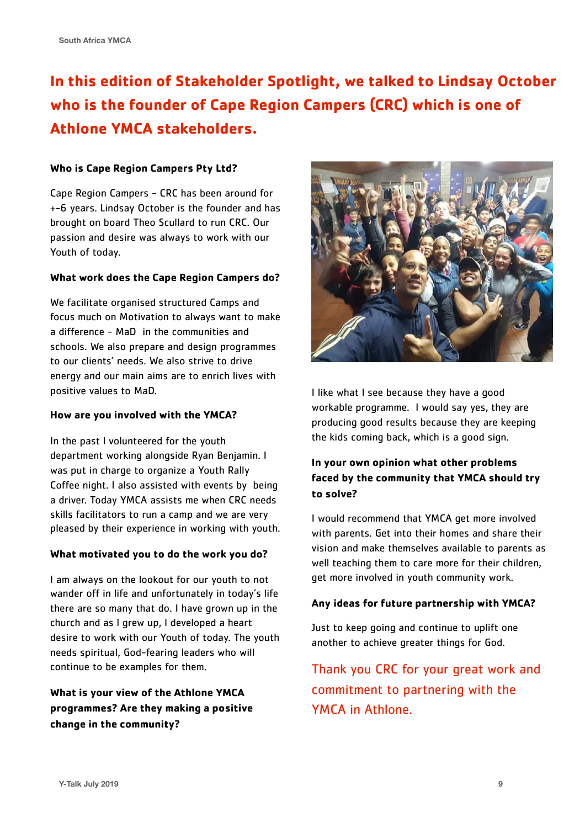## **In this edition of Stakeholder Spotlight, we talked to Lindsay October who is the founder of Cape Region Campers (CRC) which is one of Athlone YMCA stakeholders.**

#### **Who is Cape Region Campers Pty Ltd?**

Cape Region Campers - CRC has been around for +-6 years. Lindsay October is the founder and has brought on board Theo Scullard to run CRC. Our passion and desire was always to work with our Youth of today.

#### **What work does the Cape Region Campers do?**

We facilitate organised structured Camps and focus much on Motivation to always want to make a difference - MaD in the communities and schools. We also prepare and design programmes to our clients' needs. We also strive to drive energy and our main aims are to enrich lives with positive values to MaD.

#### **How are you involved with the YMCA?**

In the past l volunteered for the youth department working alongside Ryan Benjamin. I was put in charge to organize a Youth Rally Coffee night. I also assisted with events by being a driver. Today YMCA assists me when CRC needs skills facilitators to run a camp and we are very pleased by their experience in working with youth.

#### **What motivated you to do the work you do?**

I am always on the lookout for our youth to not wander off in life and unfortunately in today's life there are so many that do. I have grown up in the church and as l grew up, l developed a heart desire to work with our Youth of today. The youth needs spiritual, God-fearing leaders who will continue to be examples for them.

## **What is your view of the Athlone YMCA programmes? Are they making a positive change in the community?**



I like what l see because they have a good workable programme. I would say yes, they are producing good results because they are keeping the kids coming back, which is a good sign.

### **In your own opinion what other problems faced by the community that YMCA should try to solve?**

I would recommend that YMCA get more involved with parents. Get into their homes and share their vision and make themselves available to parents as well teaching them to care more for their children, get more involved in youth community work.

#### **Any ideas for future partnership with YMCA?**

Just to keep going and continue to uplift one another to achieve greater things for God.

Thank you CRC for your great work and commitment to partnering with the YMCA in Athlone.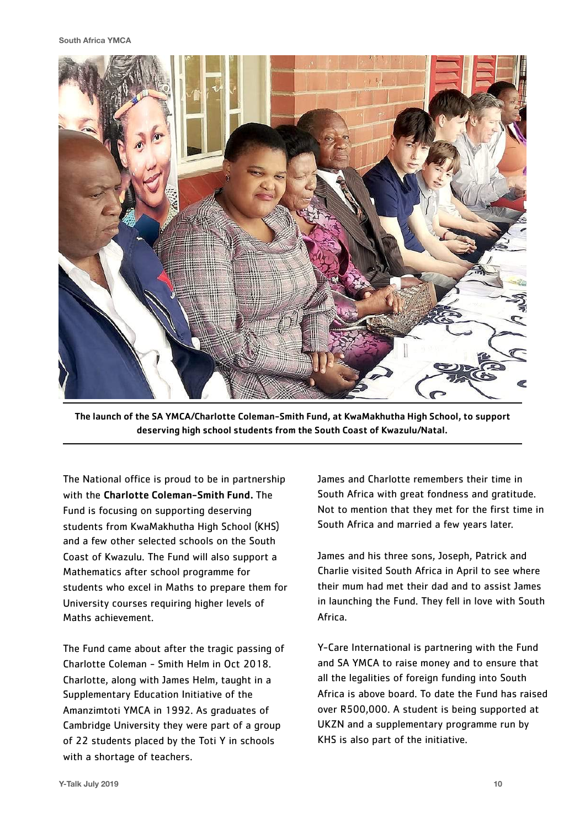

The launch of the SA YMCA/Charlotte Coleman-Smith Fund, at KwaMakhutha High School, to support deserving high school students from the South Coast of Kwazulu/Natal.

The National office is proud to be in partnership with the Charlotte Coleman-Smith Fund. The Fund is focusing on supporting deserving students from KwaMakhutha High School (KHS) and a few other selected schools on the South Coast of Kwazulu. The Fund will also support a Mathematics after school programme for students who excel in Maths to prepare them for University courses requiring higher levels of Maths achievement.

The Fund came about after the tragic passing of Charlotte Coleman - Smith Helm in Oct 2018. Charlotte, along with James Helm, taught in a Supplementary Education Initiative of the Amanzimtoti YMCA in 1992. As graduates of Cambridge University they were part of a group of 22 students placed by the Toti Y in schools with a shortage of teachers.

James and Charlotte remembers their time in South Africa with great fondness and gratitude. Not to mention that they met for the first time in South Africa and married a few years later.

James and his three sons, Joseph, Patrick and Charlie visited South Africa in April to see where their mum had met their dad and to assist James in launching the Fund. They fell in love with South Africa.

Y-Care International is partnering with the Fund and SA YMCA to raise money and to ensure that all the legalities of foreign funding into South Africa is above board. To date the Fund has raised over R500,000. A student is being supported at UKZN and a supplementary programme run by KHS is also part of the initiative.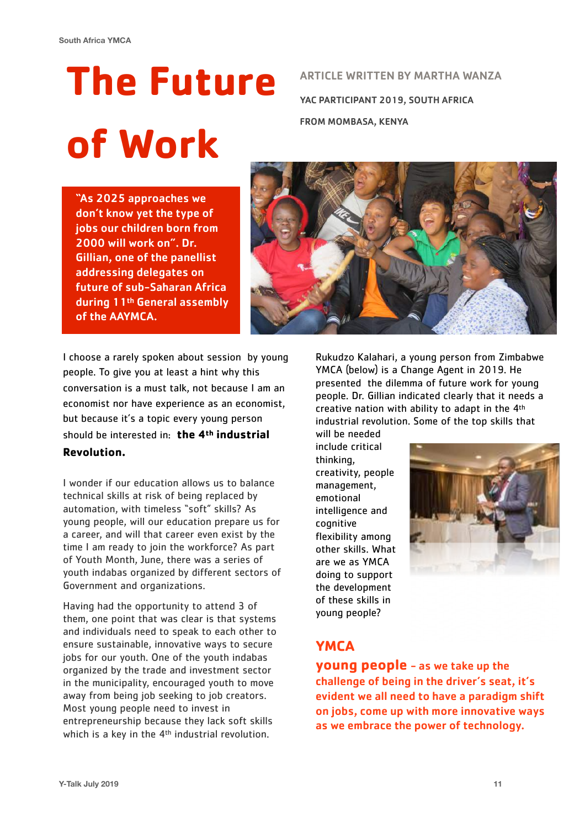# **The Future of Work**

ARTICLE WRITTEN BY MARTHA WANZA YAC PARTICIPANT 2019, SOUTH AFRICA FROM MOMBASA, KENYA

"As 2025 approaches we don't know yet the type of jobs our children born from 2000 will work on". Dr. Gillian, one of the panellist addressing delegates on future of sub-Saharan Africa during 11th General assembly of the AAYMCA.



I choose a rarely spoken about session by young people. To give you at least a hint why this conversation is a must talk, not because I am an economist nor have experience as an economist, but because it's a topic every young person should be interested in: **the 4th industrial Revolution.** 

I wonder if our education allows us to balance technical skills at risk of being replaced by automation, with timeless "soft" skills? As young people, will our education prepare us for a career, and will that career even exist by the time I am ready to join the workforce? As part of Youth Month, June, there was a series of youth indabas organized by different sectors of Government and organizations.

Having had the opportunity to attend 3 of them, one point that was clear is that systems and individuals need to speak to each other to ensure sustainable, innovative ways to secure jobs for our youth. One of the youth indabas organized by the trade and investment sector in the municipality, encouraged youth to move away from being job seeking to job creators. Most young people need to invest in entrepreneurship because they lack soft skills which is a key in the 4<sup>th</sup> industrial revolution.

Rukudzo Kalahari, a young person from Zimbabwe YMCA (below) is a Change Agent in 2019. He presented the dilemma of future work for young people. Dr. Gillian indicated clearly that it needs a creative nation with ability to adapt in the 4<sup>th</sup> industrial revolution. Some of the top skills that

will be needed include critical thinking, creativity, people management, emotional intelligence and cognitive flexibility among other skills. What are we as YMCA doing to support the development of these skills in young people?



## **YMCA**

**young people** - as we take up the challenge of being in the driver's seat, it's evident we all need to have a paradigm shift on jobs, come up with more innovative ways as we embrace the power of technology.